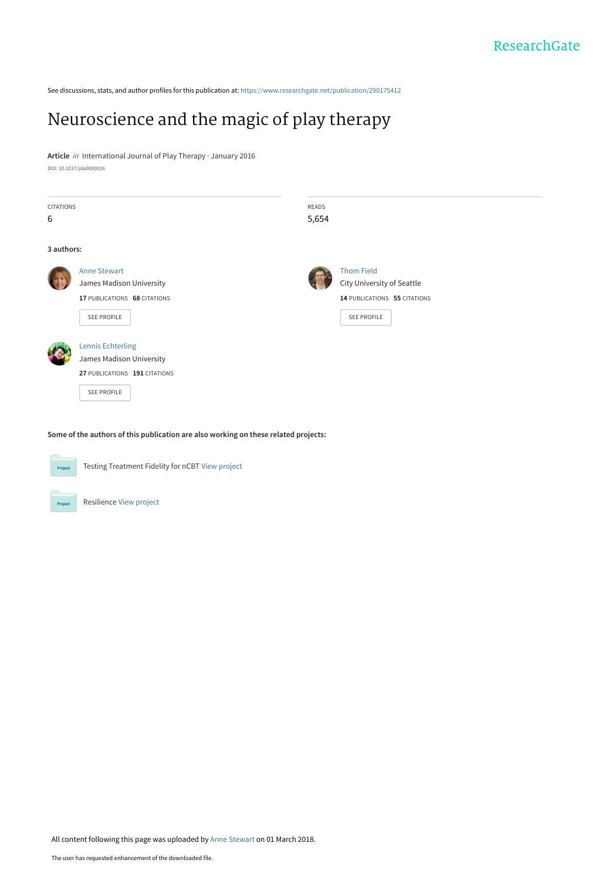See discussions, stats, and author profiles for this publication at: [https://www.researchgate.net/publication/290175412](https://www.researchgate.net/publication/290175412_Neuroscience_and_the_magic_of_play_therapy?enrichId=rgreq-7b938a803b8a2cafa6226029bb6d4ab1-XXX&enrichSource=Y292ZXJQYWdlOzI5MDE3NTQxMjtBUzo1OTk0OTEyMTY0MDg1NzdAMTUxOTk0MTI1Mjk0Mw%3D%3D&el=1_x_2&_esc=publicationCoverPdf)

# [Neuroscience and the magic of play therapy](https://www.researchgate.net/publication/290175412_Neuroscience_and_the_magic_of_play_therapy?enrichId=rgreq-7b938a803b8a2cafa6226029bb6d4ab1-XXX&enrichSource=Y292ZXJQYWdlOzI5MDE3NTQxMjtBUzo1OTk0OTEyMTY0MDg1NzdAMTUxOTk0MTI1Mjk0Mw%3D%3D&el=1_x_3&_esc=publicationCoverPdf)

**Article** in International Journal of Play Therapy · January 2016

DOI: 10.1037/pla0000016

| <b>CITATIONS</b><br>6 |                                                 | <b>READS</b><br>5,654                           |
|-----------------------|-------------------------------------------------|-------------------------------------------------|
| 3 authors:            |                                                 |                                                 |
|                       | <b>Anne Stewart</b><br>James Madison University | <b>Thom Field</b><br>City University of Seattle |
|                       | 17 PUBLICATIONS 68 CITATIONS                    | 14 PUBLICATIONS 55 CITATIONS                    |
|                       | SEE PROFILE                                     | SEE PROFILE                                     |
|                       | <b>Lennis Echterling</b>                        |                                                 |
|                       | James Madison University                        |                                                 |
|                       | 27 PUBLICATIONS 191 CITATIONS                   |                                                 |
|                       | SEE PROFILE                                     |                                                 |

**Some of the authors of this publication are also working on these related projects:**



Resilience [View project](https://www.researchgate.net/project/Resilience-27?enrichId=rgreq-7b938a803b8a2cafa6226029bb6d4ab1-XXX&enrichSource=Y292ZXJQYWdlOzI5MDE3NTQxMjtBUzo1OTk0OTEyMTY0MDg1NzdAMTUxOTk0MTI1Mjk0Mw%3D%3D&el=1_x_9&_esc=publicationCoverPdf)

All content following this page was uploaded by [Anne Stewart](https://www.researchgate.net/profile/Anne_Stewart5?enrichId=rgreq-7b938a803b8a2cafa6226029bb6d4ab1-XXX&enrichSource=Y292ZXJQYWdlOzI5MDE3NTQxMjtBUzo1OTk0OTEyMTY0MDg1NzdAMTUxOTk0MTI1Mjk0Mw%3D%3D&el=1_x_10&_esc=publicationCoverPdf) on 01 March 2018.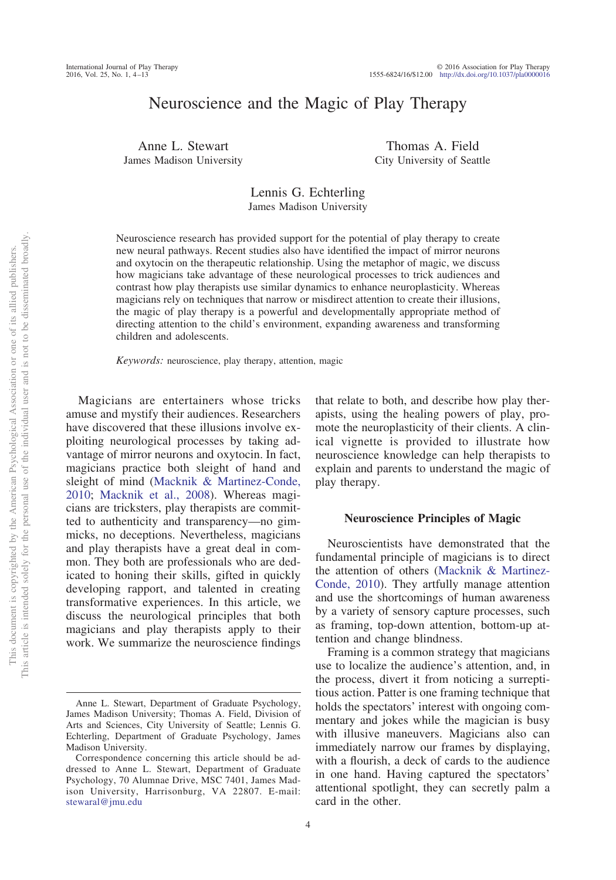## Neuroscience and the Magic of Play Therapy

Anne L. Stewart James Madison University

Thomas A. Field City University of Seattle

#### Lennis G. Echterling James Madison University

Neuroscience research has provided support for the potential of play therapy to create new neural pathways. Recent studies also have identified the impact of mirror neurons and oxytocin on the therapeutic relationship. Using the metaphor of magic, we discuss how magicians take advantage of these neurological processes to trick audiences and contrast how play therapists use similar dynamics to enhance neuroplasticity. Whereas magicians rely on techniques that narrow or misdirect attention to create their illusions, the magic of play therapy is a powerful and developmentally appropriate method of directing attention to the child's environment, expanding awareness and transforming children and adolescents.

*Keywords:* neuroscience, play therapy, attention, magic

Magicians are entertainers whose tricks amuse and mystify their audiences. Researchers have discovered that these illusions involve exploiting neurological processes by taking advantage of mirror neurons and oxytocin. In fact, magicians practice both sleight of hand and sleight of mind [\(Macknik & Martinez-Conde,](#page-9-0) [2010;](#page-9-0) [Macknik et al., 2008\)](#page-9-1). Whereas magicians are tricksters, play therapists are committed to authenticity and transparency—no gimmicks, no deceptions. Nevertheless, magicians and play therapists have a great deal in common. They both are professionals who are dedicated to honing their skills, gifted in quickly developing rapport, and talented in creating transformative experiences. In this article, we discuss the neurological principles that both magicians and play therapists apply to their work. We summarize the neuroscience findings that relate to both, and describe how play therapists, using the healing powers of play, promote the neuroplasticity of their clients. A clinical vignette is provided to illustrate how neuroscience knowledge can help therapists to explain and parents to understand the magic of play therapy.

#### **Neuroscience Principles of Magic**

Neuroscientists have demonstrated that the fundamental principle of magicians is to direct the attention of others [\(Macknik & Martinez-](#page-9-0)[Conde, 2010\)](#page-9-0). They artfully manage attention and use the shortcomings of human awareness by a variety of sensory capture processes, such as framing, top-down attention, bottom-up attention and change blindness.

Framing is a common strategy that magicians use to localize the audience's attention, and, in the process, divert it from noticing a surreptitious action. Patter is one framing technique that holds the spectators' interest with ongoing commentary and jokes while the magician is busy with illusive maneuvers. Magicians also can immediately narrow our frames by displaying, with a flourish, a deck of cards to the audience in one hand. Having captured the spectators' attentional spotlight, they can secretly palm a card in the other.

Anne L. Stewart, Department of Graduate Psychology, James Madison University; Thomas A. Field, Division of Arts and Sciences, City University of Seattle; Lennis G. Echterling, Department of Graduate Psychology, James Madison University.

Correspondence concerning this article should be addressed to Anne L. Stewart, Department of Graduate Psychology, 70 Alumnae Drive, MSC 7401, James Madison University, Harrisonburg, VA 22807. E-mail: [stewaral@jmu.edu](mailto:stewaral@jmu.edu)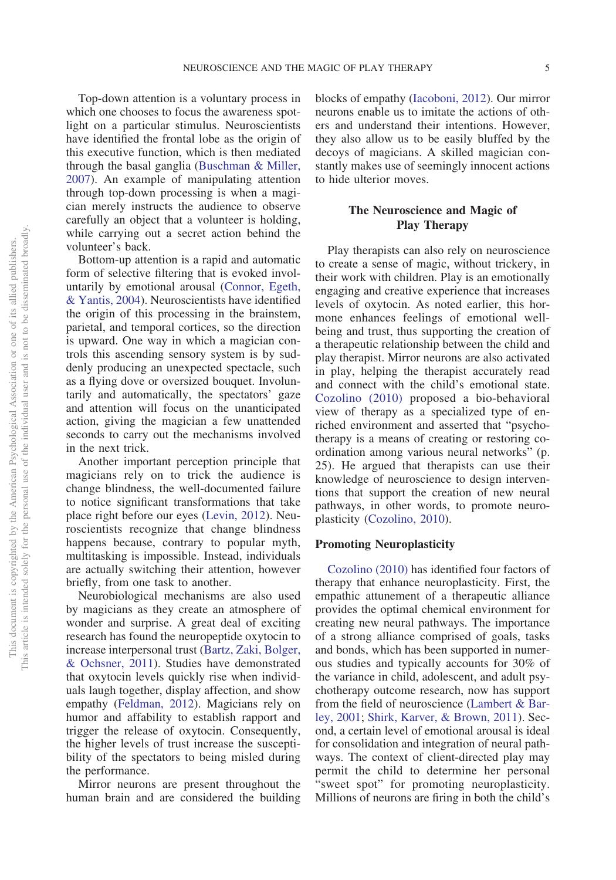Top-down attention is a voluntary process in which one chooses to focus the awareness spotlight on a particular stimulus. Neuroscientists have identified the frontal lobe as the origin of this executive function, which is then mediated through the basal ganglia [\(Buschman & Miller,](#page-9-2) [2007\)](#page-9-2). An example of manipulating attention through top-down processing is when a magician merely instructs the audience to observe carefully an object that a volunteer is holding, while carrying out a secret action behind the volunteer's back.

Bottom-up attention is a rapid and automatic form of selective filtering that is evoked involuntarily by emotional arousal [\(Connor, Egeth,](#page-9-3) [& Yantis, 2004\)](#page-9-3). Neuroscientists have identified the origin of this processing in the brainstem, parietal, and temporal cortices, so the direction is upward. One way in which a magician controls this ascending sensory system is by suddenly producing an unexpected spectacle, such as a flying dove or oversized bouquet. Involuntarily and automatically, the spectators' gaze and attention will focus on the unanticipated action, giving the magician a few unattended seconds to carry out the mechanisms involved in the next trick.

Another important perception principle that magicians rely on to trick the audience is change blindness, the well-documented failure to notice significant transformations that take place right before our eyes [\(Levin, 2012\)](#page-9-4). Neuroscientists recognize that change blindness happens because, contrary to popular myth, multitasking is impossible. Instead, individuals are actually switching their attention, however briefly, from one task to another.

Neurobiological mechanisms are also used by magicians as they create an atmosphere of wonder and surprise. A great deal of exciting research has found the neuropeptide oxytocin to increase interpersonal trust [\(Bartz, Zaki, Bolger,](#page-9-5) [& Ochsner, 2011\)](#page-9-5). Studies have demonstrated that oxytocin levels quickly rise when individuals laugh together, display affection, and show empathy [\(Feldman, 2012\)](#page-9-6). Magicians rely on humor and affability to establish rapport and trigger the release of oxytocin. Consequently, the higher levels of trust increase the susceptibility of the spectators to being misled during the performance.

Mirror neurons are present throughout the human brain and are considered the building blocks of empathy [\(Iacoboni, 2012\)](#page-9-7). Our mirror neurons enable us to imitate the actions of others and understand their intentions. However, they also allow us to be easily bluffed by the decoys of magicians. A skilled magician constantly makes use of seemingly innocent actions to hide ulterior moves.

## **The Neuroscience and Magic of Play Therapy**

Play therapists can also rely on neuroscience to create a sense of magic, without trickery, in their work with children. Play is an emotionally engaging and creative experience that increases levels of oxytocin. As noted earlier, this hormone enhances feelings of emotional wellbeing and trust, thus supporting the creation of a therapeutic relationship between the child and play therapist. Mirror neurons are also activated in play, helping the therapist accurately read and connect with the child's emotional state. [Cozolino \(2010\)](#page-9-8) proposed a bio-behavioral view of therapy as a specialized type of enriched environment and asserted that "psychotherapy is a means of creating or restoring coordination among various neural networks" (p. 25). He argued that therapists can use their knowledge of neuroscience to design interventions that support the creation of new neural pathways, in other words, to promote neuroplasticity [\(Cozolino, 2010\)](#page-9-8).

#### **Promoting Neuroplasticity**

[Cozolino \(2010\)](#page-9-8) has identified four factors of therapy that enhance neuroplasticity. First, the empathic attunement of a therapeutic alliance provides the optimal chemical environment for creating new neural pathways. The importance of a strong alliance comprised of goals, tasks and bonds, which has been supported in numerous studies and typically accounts for 30% of the variance in child, adolescent, and adult psychotherapy outcome research, now has support from the field of neuroscience [\(Lambert & Bar](#page-9-9)[ley, 2001;](#page-9-9) [Shirk, Karver, & Brown, 2011\)](#page-10-0). Second, a certain level of emotional arousal is ideal for consolidation and integration of neural pathways. The context of client-directed play may permit the child to determine her personal "sweet spot" for promoting neuroplasticity. Millions of neurons are firing in both the child's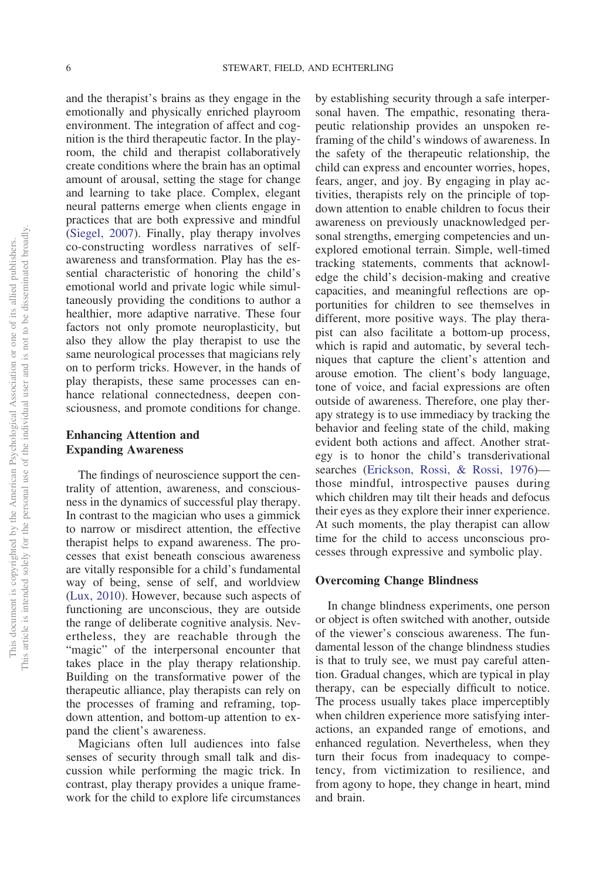and the therapist's brains as they engage in the emotionally and physically enriched playroom environment. The integration of affect and cognition is the third therapeutic factor. In the playroom, the child and therapist collaboratively create conditions where the brain has an optimal amount of arousal, setting the stage for change and learning to take place. Complex, elegant neural patterns emerge when clients engage in practices that are both expressive and mindful [\(Siegel, 2007\)](#page-10-1). Finally, play therapy involves co-constructing wordless narratives of selfawareness and transformation. Play has the essential characteristic of honoring the child's emotional world and private logic while simultaneously providing the conditions to author a healthier, more adaptive narrative. These four factors not only promote neuroplasticity, but also they allow the play therapist to use the same neurological processes that magicians rely on to perform tricks. However, in the hands of play therapists, these same processes can enhance relational connectedness, deepen consciousness, and promote conditions for change.

#### **Enhancing Attention and Expanding Awareness**

The findings of neuroscience support the centrality of attention, awareness, and consciousness in the dynamics of successful play therapy. In contrast to the magician who uses a gimmick to narrow or misdirect attention, the effective therapist helps to expand awareness. The processes that exist beneath conscious awareness are vitally responsible for a child's fundamental way of being, sense of self, and worldview [\(Lux, 2010\)](#page-9-10). However, because such aspects of functioning are unconscious, they are outside the range of deliberate cognitive analysis. Nevertheless, they are reachable through the "magic" of the interpersonal encounter that takes place in the play therapy relationship. Building on the transformative power of the therapeutic alliance, play therapists can rely on the processes of framing and reframing, topdown attention, and bottom-up attention to expand the client's awareness.

Magicians often lull audiences into false senses of security through small talk and discussion while performing the magic trick. In contrast, play therapy provides a unique framework for the child to explore life circumstances

by establishing security through a safe interpersonal haven. The empathic, resonating therapeutic relationship provides an unspoken reframing of the child's windows of awareness. In the safety of the therapeutic relationship, the child can express and encounter worries, hopes, fears, anger, and joy. By engaging in play activities, therapists rely on the principle of topdown attention to enable children to focus their awareness on previously unacknowledged personal strengths, emerging competencies and unexplored emotional terrain. Simple, well-timed tracking statements, comments that acknowledge the child's decision-making and creative capacities, and meaningful reflections are opportunities for children to see themselves in different, more positive ways. The play therapist can also facilitate a bottom-up process, which is rapid and automatic, by several techniques that capture the client's attention and arouse emotion. The client's body language, tone of voice, and facial expressions are often outside of awareness. Therefore, one play therapy strategy is to use immediacy by tracking the behavior and feeling state of the child, making evident both actions and affect. Another strategy is to honor the child's transderivational searches [\(Erickson, Rossi, & Rossi, 1976\)](#page-9-11) those mindful, introspective pauses during which children may tilt their heads and defocus their eyes as they explore their inner experience. At such moments, the play therapist can allow time for the child to access unconscious processes through expressive and symbolic play.

#### **Overcoming Change Blindness**

In change blindness experiments, one person or object is often switched with another, outside of the viewer's conscious awareness. The fundamental lesson of the change blindness studies is that to truly see, we must pay careful attention. Gradual changes, which are typical in play therapy, can be especially difficult to notice. The process usually takes place imperceptibly when children experience more satisfying interactions, an expanded range of emotions, and enhanced regulation. Nevertheless, when they turn their focus from inadequacy to competency, from victimization to resilience, and from agony to hope, they change in heart, mind and brain.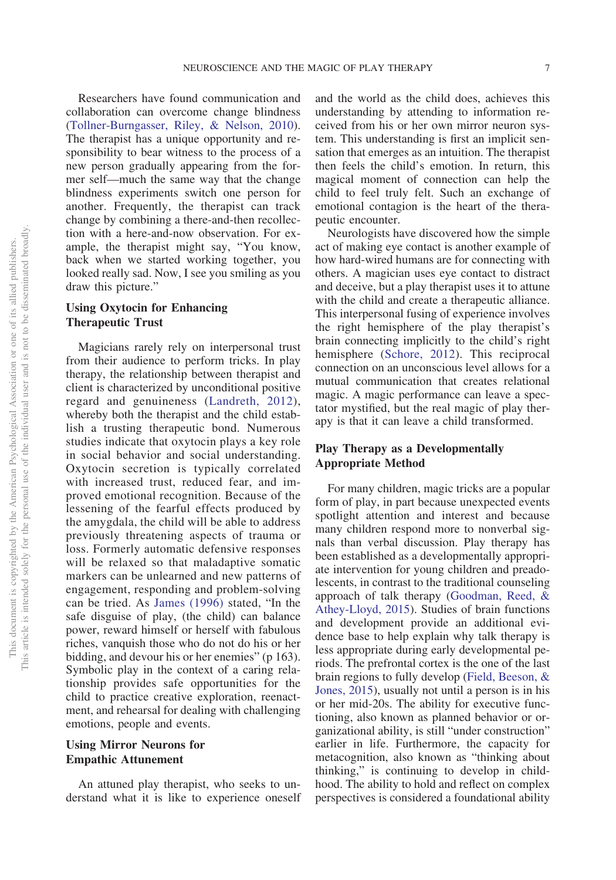Researchers have found communication and collaboration can overcome change blindness [\(Tollner-Burngasser, Riley, & Nelson, 2010\)](#page-10-2). The therapist has a unique opportunity and responsibility to bear witness to the process of a new person gradually appearing from the former self—much the same way that the change blindness experiments switch one person for another. Frequently, the therapist can track change by combining a there-and-then recollection with a here-and-now observation. For example, the therapist might say, "You know, back when we started working together, you looked really sad. Now, I see you smiling as you draw this picture."

## **Using Oxytocin for Enhancing Therapeutic Trust**

Magicians rarely rely on interpersonal trust from their audience to perform tricks. In play therapy, the relationship between therapist and client is characterized by unconditional positive regard and genuineness [\(Landreth, 2012\)](#page-9-12), whereby both the therapist and the child establish a trusting therapeutic bond. Numerous studies indicate that oxytocin plays a key role in social behavior and social understanding. Oxytocin secretion is typically correlated with increased trust, reduced fear, and improved emotional recognition. Because of the lessening of the fearful effects produced by the amygdala, the child will be able to address previously threatening aspects of trauma or loss. Formerly automatic defensive responses will be relaxed so that maladaptive somatic markers can be unlearned and new patterns of engagement, responding and problem-solving can be tried. As [James \(1996\)](#page-9-13) stated, "In the safe disguise of play, (the child) can balance power, reward himself or herself with fabulous riches, vanquish those who do not do his or her bidding, and devour his or her enemies" (p 163). Symbolic play in the context of a caring relationship provides safe opportunities for the child to practice creative exploration, reenactment, and rehearsal for dealing with challenging emotions, people and events.

#### **Using Mirror Neurons for Empathic Attunement**

An attuned play therapist, who seeks to understand what it is like to experience oneself and the world as the child does, achieves this understanding by attending to information received from his or her own mirror neuron system. This understanding is first an implicit sensation that emerges as an intuition. The therapist then feels the child's emotion. In return, this magical moment of connection can help the child to feel truly felt. Such an exchange of emotional contagion is the heart of the therapeutic encounter.

Neurologists have discovered how the simple act of making eye contact is another example of how hard-wired humans are for connecting with others. A magician uses eye contact to distract and deceive, but a play therapist uses it to attune with the child and create a therapeutic alliance. This interpersonal fusing of experience involves the right hemisphere of the play therapist's brain connecting implicitly to the child's right hemisphere [\(Schore, 2012\)](#page-10-3). This reciprocal connection on an unconscious level allows for a mutual communication that creates relational magic. A magic performance can leave a spectator mystified, but the real magic of play therapy is that it can leave a child transformed.

## **Play Therapy as a Developmentally Appropriate Method**

For many children, magic tricks are a popular form of play, in part because unexpected events spotlight attention and interest and because many children respond more to nonverbal signals than verbal discussion. Play therapy has been established as a developmentally appropriate intervention for young children and preadolescents, in contrast to the traditional counseling approach of talk therapy [\(Goodman, Reed, &](#page-9-14) [Athey-Lloyd, 2015\)](#page-9-14). Studies of brain functions and development provide an additional evidence base to help explain why talk therapy is less appropriate during early developmental periods. The prefrontal cortex is the one of the last brain regions to fully develop [\(Field, Beeson, &](#page-9-15) [Jones, 2015\)](#page-9-15), usually not until a person is in his or her mid-20s. The ability for executive functioning, also known as planned behavior or organizational ability, is still "under construction" earlier in life. Furthermore, the capacity for metacognition, also known as "thinking about thinking," is continuing to develop in childhood. The ability to hold and reflect on complex perspectives is considered a foundational ability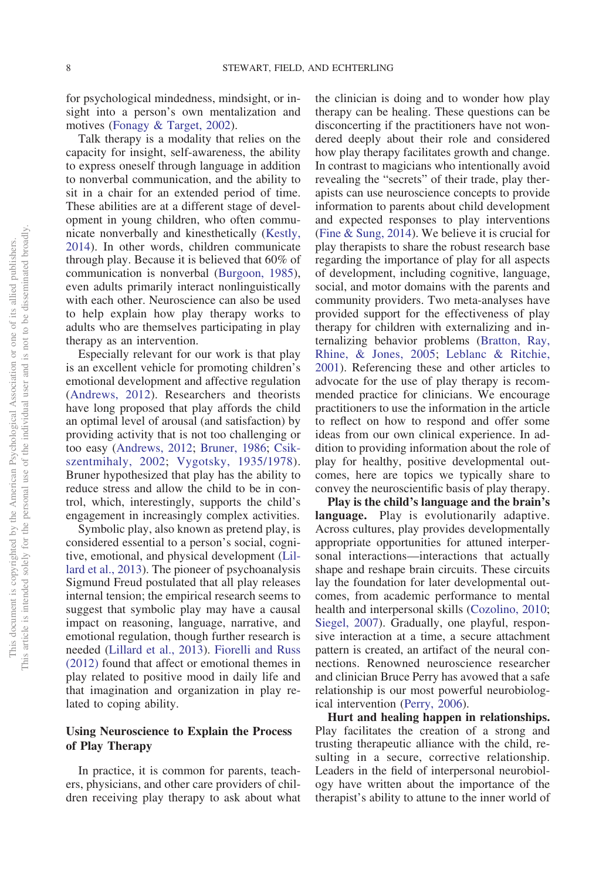for psychological mindedness, mindsight, or insight into a person's own mentalization and motives [\(Fonagy & Target, 2002\)](#page-9-16).

Talk therapy is a modality that relies on the capacity for insight, self-awareness, the ability to express oneself through language in addition to nonverbal communication, and the ability to sit in a chair for an extended period of time. These abilities are at a different stage of development in young children, who often communicate nonverbally and kinesthetically [\(Kestly,](#page-9-17) [2014\)](#page-9-17). In other words, children communicate through play. Because it is believed that 60% of communication is nonverbal [\(Burgoon, 1985\)](#page-9-18), even adults primarily interact nonlinguistically with each other. Neuroscience can also be used to help explain how play therapy works to adults who are themselves participating in play therapy as an intervention.

Especially relevant for our work is that play is an excellent vehicle for promoting children's emotional development and affective regulation [\(Andrews, 2012\)](#page-8-0). Researchers and theorists have long proposed that play affords the child an optimal level of arousal (and satisfaction) by providing activity that is not too challenging or too easy [\(Andrews, 2012;](#page-8-0) [Bruner, 1986;](#page-9-19) [Csik](#page-9-20)[szentmihaly, 2002;](#page-9-20) [Vygotsky, 1935/1978\)](#page-10-4). Bruner hypothesized that play has the ability to reduce stress and allow the child to be in control, which, interestingly, supports the child's engagement in increasingly complex activities.

Symbolic play, also known as pretend play, is considered essential to a person's social, cognitive, emotional, and physical development [\(Lil](#page-9-21)[lard et al., 2013\)](#page-9-21). The pioneer of psychoanalysis Sigmund Freud postulated that all play releases internal tension; the empirical research seems to suggest that symbolic play may have a causal impact on reasoning, language, narrative, and emotional regulation, though further research is needed [\(Lillard et al., 2013\)](#page-9-21). [Fiorelli and Russ](#page-9-22) [\(2012\)](#page-9-22) found that affect or emotional themes in play related to positive mood in daily life and that imagination and organization in play related to coping ability.

## **Using Neuroscience to Explain the Process of Play Therapy**

In practice, it is common for parents, teachers, physicians, and other care providers of children receiving play therapy to ask about what the clinician is doing and to wonder how play therapy can be healing. These questions can be disconcerting if the practitioners have not wondered deeply about their role and considered how play therapy facilitates growth and change. In contrast to magicians who intentionally avoid revealing the "secrets" of their trade, play therapists can use neuroscience concepts to provide information to parents about child development and expected responses to play interventions [\(Fine & Sung, 2014\)](#page-9-23). We believe it is crucial for play therapists to share the robust research base regarding the importance of play for all aspects of development, including cognitive, language, social, and motor domains with the parents and community providers. Two meta-analyses have provided support for the effectiveness of play therapy for children with externalizing and internalizing behavior problems [\(Bratton, Ray,](#page-9-24) [Rhine, & Jones, 2005;](#page-9-24) [Leblanc & Ritchie,](#page-9-25) [2001\)](#page-9-25). Referencing these and other articles to advocate for the use of play therapy is recommended practice for clinicians. We encourage practitioners to use the information in the article to reflect on how to respond and offer some ideas from our own clinical experience. In addition to providing information about the role of play for healthy, positive developmental outcomes, here are topics we typically share to convey the neuroscientific basis of play therapy.

**Play is the child's language and the brain's language.** Play is evolutionarily adaptive. Across cultures, play provides developmentally appropriate opportunities for attuned interpersonal interactions—interactions that actually shape and reshape brain circuits. These circuits lay the foundation for later developmental outcomes, from academic performance to mental health and interpersonal skills [\(Cozolino, 2010;](#page-9-8) [Siegel, 2007\)](#page-10-1). Gradually, one playful, responsive interaction at a time, a secure attachment pattern is created, an artifact of the neural connections. Renowned neuroscience researcher and clinician Bruce Perry has avowed that a safe relationship is our most powerful neurobiological intervention [\(Perry, 2006\)](#page-9-26).

**Hurt and healing happen in relationships.** Play facilitates the creation of a strong and trusting therapeutic alliance with the child, resulting in a secure, corrective relationship. Leaders in the field of interpersonal neurobiology have written about the importance of the therapist's ability to attune to the inner world of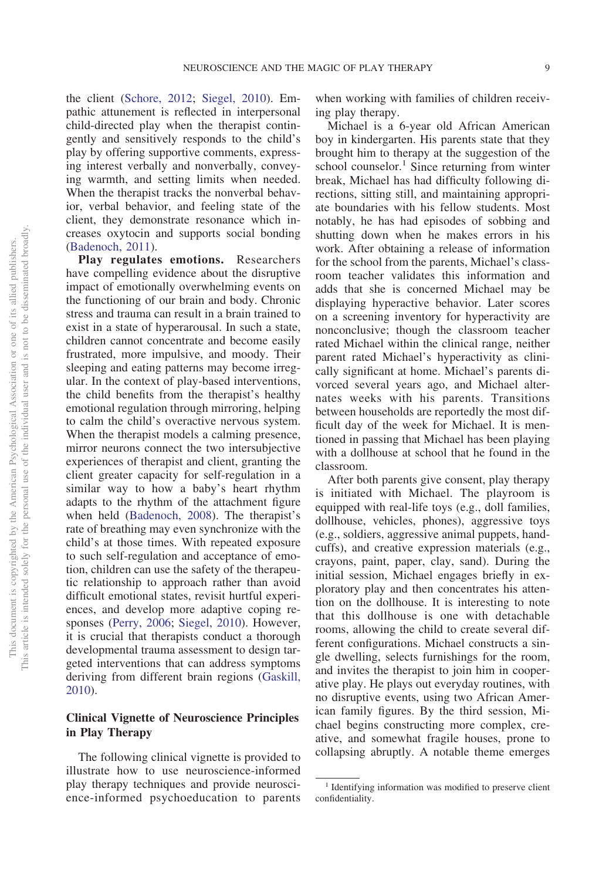the client [\(Schore, 2012;](#page-10-3) [Siegel, 2010\)](#page-10-5). Empathic attunement is reflected in interpersonal child-directed play when the therapist contingently and sensitively responds to the child's play by offering supportive comments, expressing interest verbally and nonverbally, conveying warmth, and setting limits when needed. When the therapist tracks the nonverbal behavior, verbal behavior, and feeling state of the client, they demonstrate resonance which increases oxytocin and supports social bonding [\(Badenoch, 2011\)](#page-9-27).

**Play regulates emotions.** Researchers have compelling evidence about the disruptive impact of emotionally overwhelming events on the functioning of our brain and body. Chronic stress and trauma can result in a brain trained to exist in a state of hyperarousal. In such a state, children cannot concentrate and become easily frustrated, more impulsive, and moody. Their sleeping and eating patterns may become irregular. In the context of play-based interventions, the child benefits from the therapist's healthy emotional regulation through mirroring, helping to calm the child's overactive nervous system. When the therapist models a calming presence, mirror neurons connect the two intersubjective experiences of therapist and client, granting the client greater capacity for self-regulation in a similar way to how a baby's heart rhythm adapts to the rhythm of the attachment figure when held [\(Badenoch, 2008\)](#page-9-28). The therapist's rate of breathing may even synchronize with the child's at those times. With repeated exposure to such self-regulation and acceptance of emotion, children can use the safety of the therapeutic relationship to approach rather than avoid difficult emotional states, revisit hurtful experiences, and develop more adaptive coping responses [\(Perry, 2006;](#page-9-26) [Siegel, 2010\)](#page-10-5). However, it is crucial that therapists conduct a thorough developmental trauma assessment to design targeted interventions that can address symptoms deriving from different brain regions [\(Gaskill,](#page-9-29) [2010\)](#page-9-29).

## **Clinical Vignette of Neuroscience Principles in Play Therapy**

The following clinical vignette is provided to illustrate how to use neuroscience-informed play therapy techniques and provide neuroscience-informed psychoeducation to parents when working with families of children receiving play therapy.

Michael is a 6-year old African American boy in kindergarten. His parents state that they brought him to therapy at the suggestion of the school counselor. $\frac{1}{1}$  Since returning from winter break, Michael has had difficulty following directions, sitting still, and maintaining appropriate boundaries with his fellow students. Most notably, he has had episodes of sobbing and shutting down when he makes errors in his work. After obtaining a release of information for the school from the parents, Michael's classroom teacher validates this information and adds that she is concerned Michael may be displaying hyperactive behavior. Later scores on a screening inventory for hyperactivity are nonconclusive; though the classroom teacher rated Michael within the clinical range, neither parent rated Michael's hyperactivity as clinically significant at home. Michael's parents divorced several years ago, and Michael alternates weeks with his parents. Transitions between households are reportedly the most difficult day of the week for Michael. It is mentioned in passing that Michael has been playing with a dollhouse at school that he found in the classroom.

After both parents give consent, play therapy is initiated with Michael. The playroom is equipped with real-life toys (e.g., doll families, dollhouse, vehicles, phones), aggressive toys (e.g., soldiers, aggressive animal puppets, handcuffs), and creative expression materials (e.g., crayons, paint, paper, clay, sand). During the initial session, Michael engages briefly in exploratory play and then concentrates his attention on the dollhouse. It is interesting to note that this dollhouse is one with detachable rooms, allowing the child to create several different configurations. Michael constructs a single dwelling, selects furnishings for the room, and invites the therapist to join him in cooperative play. He plays out everyday routines, with no disruptive events, using two African American family figures. By the third session, Michael begins constructing more complex, creative, and somewhat fragile houses, prone to collapsing abruptly. A notable theme emerges

<sup>&</sup>lt;sup>1</sup> Identifying information was modified to preserve client confidentiality.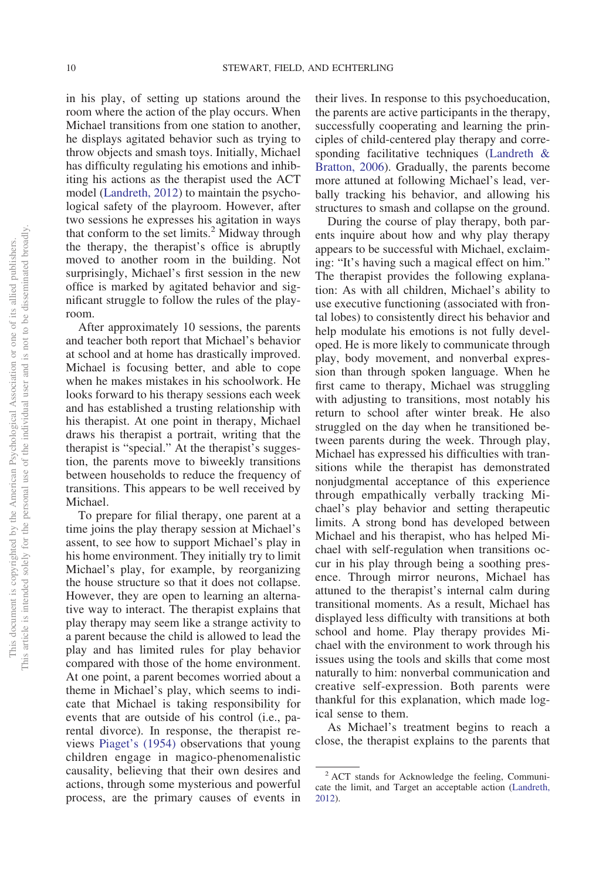in his play, of setting up stations around the room where the action of the play occurs. When Michael transitions from one station to another, he displays agitated behavior such as trying to throw objects and smash toys. Initially, Michael has difficulty regulating his emotions and inhibiting his actions as the therapist used the ACT model [\(Landreth, 2012\)](#page-9-12) to maintain the psychological safety of the playroom. However, after two sessions he expresses his agitation in ways that conform to the set limits. $<sup>2</sup>$  Midway through</sup> the therapy, the therapist's office is abruptly moved to another room in the building. Not surprisingly, Michael's first session in the new office is marked by agitated behavior and significant struggle to follow the rules of the playroom.

After approximately 10 sessions, the parents and teacher both report that Michael's behavior at school and at home has drastically improved. Michael is focusing better, and able to cope when he makes mistakes in his schoolwork. He looks forward to his therapy sessions each week and has established a trusting relationship with his therapist. At one point in therapy, Michael draws his therapist a portrait, writing that the therapist is "special." At the therapist's suggestion, the parents move to biweekly transitions between households to reduce the frequency of transitions. This appears to be well received by Michael.

To prepare for filial therapy, one parent at a time joins the play therapy session at Michael's assent, to see how to support Michael's play in his home environment. They initially try to limit Michael's play, for example, by reorganizing the house structure so that it does not collapse. However, they are open to learning an alternative way to interact. The therapist explains that play therapy may seem like a strange activity to a parent because the child is allowed to lead the play and has limited rules for play behavior compared with those of the home environment. At one point, a parent becomes worried about a theme in Michael's play, which seems to indicate that Michael is taking responsibility for events that are outside of his control (i.e., parental divorce). In response, the therapist reviews [Piaget's \(1954\)](#page-10-6) observations that young children engage in magico-phenomenalistic causality, believing that their own desires and actions, through some mysterious and powerful process, are the primary causes of events in their lives. In response to this psychoeducation, the parents are active participants in the therapy, successfully cooperating and learning the principles of child-centered play therapy and corresponding facilitative techniques [\(Landreth &](#page-9-30) [Bratton, 2006\)](#page-9-30). Gradually, the parents become more attuned at following Michael's lead, verbally tracking his behavior, and allowing his structures to smash and collapse on the ground.

During the course of play therapy, both parents inquire about how and why play therapy appears to be successful with Michael, exclaiming: "It's having such a magical effect on him." The therapist provides the following explanation: As with all children, Michael's ability to use executive functioning (associated with frontal lobes) to consistently direct his behavior and help modulate his emotions is not fully developed. He is more likely to communicate through play, body movement, and nonverbal expression than through spoken language. When he first came to therapy, Michael was struggling with adjusting to transitions, most notably his return to school after winter break. He also struggled on the day when he transitioned between parents during the week. Through play, Michael has expressed his difficulties with transitions while the therapist has demonstrated nonjudgmental acceptance of this experience through empathically verbally tracking Michael's play behavior and setting therapeutic limits. A strong bond has developed between Michael and his therapist, who has helped Michael with self-regulation when transitions occur in his play through being a soothing presence. Through mirror neurons, Michael has attuned to the therapist's internal calm during transitional moments. As a result, Michael has displayed less difficulty with transitions at both school and home. Play therapy provides Michael with the environment to work through his issues using the tools and skills that come most naturally to him: nonverbal communication and creative self-expression. Both parents were thankful for this explanation, which made logical sense to them.

As Michael's treatment begins to reach a close, the therapist explains to the parents that

<sup>2</sup> ACT stands for Acknowledge the feeling, Communicate the limit, and Target an acceptable action [\(Landreth,](#page-9-12) [2012\)](#page-9-12).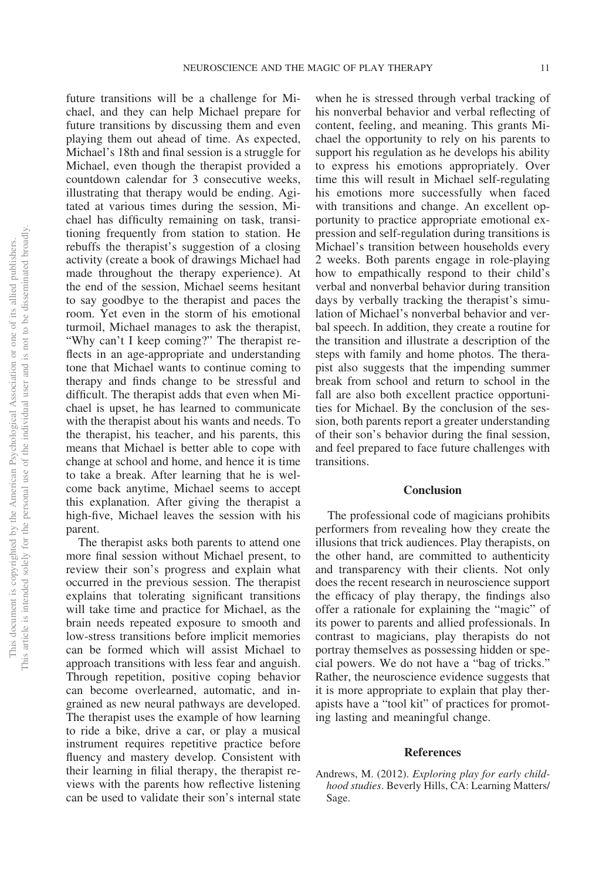future transitions will be a challenge for Michael, and they can help Michael prepare for future transitions by discussing them and even playing them out ahead of time. As expected, Michael's 18th and final session is a struggle for Michael, even though the therapist provided a countdown calendar for 3 consecutive weeks, illustrating that therapy would be ending. Agitated at various times during the session, Michael has difficulty remaining on task, transitioning frequently from station to station. He rebuffs the therapist's suggestion of a closing activity (create a book of drawings Michael had made throughout the therapy experience). At the end of the session, Michael seems hesitant to say goodbye to the therapist and paces the room. Yet even in the storm of his emotional turmoil, Michael manages to ask the therapist, "Why can't I keep coming?" The therapist reflects in an age-appropriate and understanding tone that Michael wants to continue coming to therapy and finds change to be stressful and difficult. The therapist adds that even when Michael is upset, he has learned to communicate with the therapist about his wants and needs. To the therapist, his teacher, and his parents, this means that Michael is better able to cope with change at school and home, and hence it is time to take a break. After learning that he is welcome back anytime, Michael seems to accept this explanation. After giving the therapist a high-five, Michael leaves the session with his parent.

The therapist asks both parents to attend one more final session without Michael present, to review their son's progress and explain what occurred in the previous session. The therapist explains that tolerating significant transitions will take time and practice for Michael, as the brain needs repeated exposure to smooth and low-stress transitions before implicit memories can be formed which will assist Michael to approach transitions with less fear and anguish. Through repetition, positive coping behavior can become overlearned, automatic, and ingrained as new neural pathways are developed. The therapist uses the example of how learning to ride a bike, drive a car, or play a musical instrument requires repetitive practice before fluency and mastery develop. Consistent with their learning in filial therapy, the therapist reviews with the parents how reflective listening can be used to validate their son's internal state

when he is stressed through verbal tracking of his nonverbal behavior and verbal reflecting of content, feeling, and meaning. This grants Michael the opportunity to rely on his parents to support his regulation as he develops his ability to express his emotions appropriately. Over time this will result in Michael self-regulating his emotions more successfully when faced with transitions and change. An excellent opportunity to practice appropriate emotional expression and self-regulation during transitions is Michael's transition between households every 2 weeks. Both parents engage in role-playing how to empathically respond to their child's verbal and nonverbal behavior during transition days by verbally tracking the therapist's simulation of Michael's nonverbal behavior and verbal speech. In addition, they create a routine for the transition and illustrate a description of the steps with family and home photos. The therapist also suggests that the impending summer break from school and return to school in the fall are also both excellent practice opportunities for Michael. By the conclusion of the session, both parents report a greater understanding of their son's behavior during the final session, and feel prepared to face future challenges with transitions.

#### **Conclusion**

The professional code of magicians prohibits performers from revealing how they create the illusions that trick audiences. Play therapists, on the other hand, are committed to authenticity and transparency with their clients. Not only does the recent research in neuroscience support the efficacy of play therapy, the findings also offer a rationale for explaining the "magic" of its power to parents and allied professionals. In contrast to magicians, play therapists do not portray themselves as possessing hidden or special powers. We do not have a "bag of tricks." Rather, the neuroscience evidence suggests that it is more appropriate to explain that play therapists have a "tool kit" of practices for promoting lasting and meaningful change.

#### **References**

<span id="page-8-0"></span>Andrews, M. (2012). *Exploring play for early childhood studies*. Beverly Hills, CA: Learning Matters/ Sage.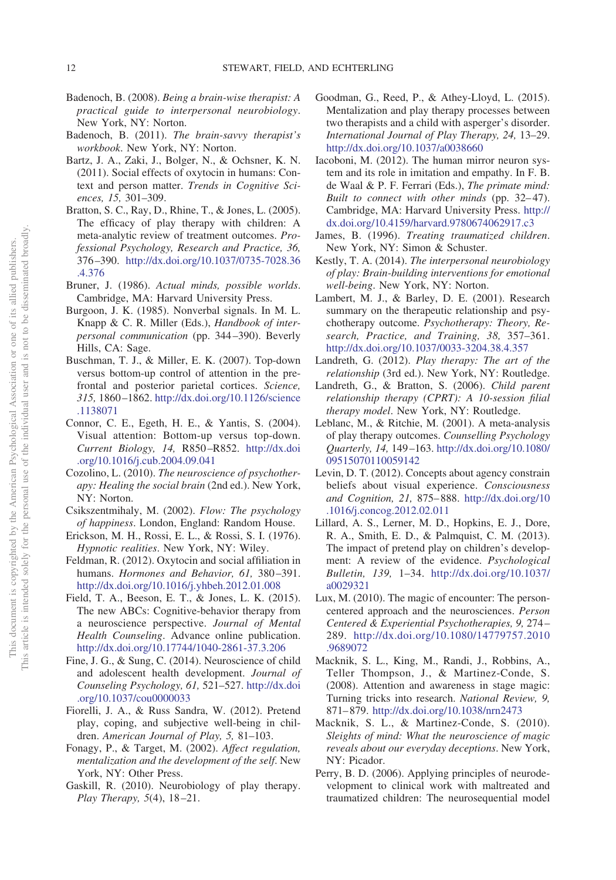- <span id="page-9-28"></span>Badenoch, B. (2008). *Being a brain-wise therapist: A practical guide to interpersonal neurobiology*. New York, NY: Norton.
- <span id="page-9-27"></span>Badenoch, B. (2011). *The brain-savvy therapist's workbook*. New York, NY: Norton.
- <span id="page-9-5"></span>Bartz, J. A., Zaki, J., Bolger, N., & Ochsner, K. N. (2011). Social effects of oxytocin in humans: Context and person matter. *Trends in Cognitive Sciences, 15,* 301–309.
- <span id="page-9-24"></span>Bratton, S. C., Ray, D., Rhine, T., & Jones, L. (2005). The efficacy of play therapy with children: A meta-analytic review of treatment outcomes. *Professional Psychology, Research and Practice, 36,* 376 –390. [http://dx.doi.org/10.1037/0735-7028.36](http://dx.doi.org/10.1037/0735-7028.36.4.376) [.4.376](http://dx.doi.org/10.1037/0735-7028.36.4.376)
- <span id="page-9-19"></span>Bruner, J. (1986). *Actual minds, possible worlds*. Cambridge, MA: Harvard University Press.
- <span id="page-9-18"></span>Burgoon, J. K. (1985). Nonverbal signals. In M. L. Knapp & C. R. Miller (Eds.), *Handbook of interpersonal communication* (pp. 344 –390). Beverly Hills, CA: Sage.
- <span id="page-9-2"></span>Buschman, T. J., & Miller, E. K. (2007). Top-down versus bottom-up control of attention in the prefrontal and posterior parietal cortices. *Science, 315,* 1860 –1862. [http://dx.doi.org/10.1126/science](http://dx.doi.org/10.1126/science.1138071) [.1138071](http://dx.doi.org/10.1126/science.1138071)
- <span id="page-9-3"></span>Connor, C. E., Egeth, H. E., & Yantis, S. (2004). Visual attention: Bottom-up versus top-down. *Current Biology, 14,* R850 –R852. [http://dx.doi](http://dx.doi.org/10.1016/j.cub.2004.09.041) [.org/10.1016/j.cub.2004.09.041](http://dx.doi.org/10.1016/j.cub.2004.09.041)
- <span id="page-9-8"></span>Cozolino, L. (2010). *The neuroscience of psychotherapy: Healing the social brain* (2nd ed.). New York, NY: Norton.
- <span id="page-9-20"></span>Csikszentmihaly, M. (2002). *Flow: The psychology of happiness*. London, England: Random House.
- <span id="page-9-11"></span>Erickson, M. H., Rossi, E. L., & Rossi, S. I. (1976). *Hypnotic realities*. New York, NY: Wiley.
- <span id="page-9-6"></span>Feldman, R. (2012). Oxytocin and social affiliation in humans. *Hormones and Behavior*, 61, 380-391. <http://dx.doi.org/10.1016/j.yhbeh.2012.01.008>
- <span id="page-9-15"></span>Field, T. A., Beeson, E. T., & Jones, L. K. (2015). The new ABCs: Cognitive-behavior therapy from a neuroscience perspective. *Journal of Mental Health Counseling*. Advance online publication. <http://dx.doi.org/10.17744/1040-2861-37.3.206>
- <span id="page-9-23"></span>Fine, J. G., & Sung, C. (2014). Neuroscience of child and adolescent health development. *Journal of Counseling Psychology, 61,* 521–527. [http://dx.doi](http://dx.doi.org/10.1037/cou0000033) [.org/10.1037/cou0000033](http://dx.doi.org/10.1037/cou0000033)
- <span id="page-9-22"></span>Fiorelli, J. A., & Russ Sandra, W. (2012). Pretend play, coping, and subjective well-being in children. *American Journal of Play, 5,* 81–103.
- <span id="page-9-16"></span>Fonagy, P., & Target, M. (2002). *Affect regulation, mentalization and the development of the self*. New York, NY: Other Press.
- <span id="page-9-29"></span>Gaskill, R. (2010). Neurobiology of play therapy. *Play Therapy, 5(4), 18-21.*
- <span id="page-9-14"></span>Goodman, G., Reed, P., & Athey-Lloyd, L. (2015). Mentalization and play therapy processes between two therapists and a child with asperger's disorder. *International Journal of Play Therapy, 24,* 13–29. <http://dx.doi.org/10.1037/a0038660>
- <span id="page-9-7"></span>Iacoboni, M. (2012). The human mirror neuron system and its role in imitation and empathy. In F. B. de Waal & P. F. Ferrari (Eds.), *The primate mind: Built to connect with other minds* (pp. 32–47). Cambridge, MA: Harvard University Press. [http://](http://dx.doi.org/10.4159/harvard.9780674062917.c3) [dx.doi.org/10.4159/harvard.9780674062917.c3](http://dx.doi.org/10.4159/harvard.9780674062917.c3)
- <span id="page-9-13"></span>James, B. (1996). *Treating traumatized children*. New York, NY: Simon & Schuster.
- <span id="page-9-17"></span>Kestly, T. A. (2014). *The interpersonal neurobiology of play: Brain-building interventions for emotional well-being*. New York, NY: Norton.
- <span id="page-9-9"></span>Lambert, M. J., & Barley, D. E. (2001). Research summary on the therapeutic relationship and psychotherapy outcome. *Psychotherapy: Theory, Research, Practice, and Training, 38,* 357–361. <http://dx.doi.org/10.1037/0033-3204.38.4.357>
- <span id="page-9-12"></span>Landreth, G. (2012). *Play therapy: The art of the relationship* (3rd ed.). New York, NY: Routledge.
- <span id="page-9-30"></span>Landreth, G., & Bratton, S. (2006). *Child parent relationship therapy (CPRT): A 10-session filial therapy model*. New York, NY: Routledge.
- <span id="page-9-25"></span>Leblanc, M., & Ritchie, M. (2001). A meta-analysis of play therapy outcomes. *Counselling Psychology Quarterly, 14,* 149 –163. [http://dx.doi.org/10.1080/](http://dx.doi.org/10.1080/09515070110059142) [09515070110059142](http://dx.doi.org/10.1080/09515070110059142)
- <span id="page-9-4"></span>Levin, D. T. (2012). Concepts about agency constrain beliefs about visual experience. *Consciousness and Cognition, 21,* 875– 888. [http://dx.doi.org/10](http://dx.doi.org/10.1016/j.concog.2012.02.011) [.1016/j.concog.2012.02.011](http://dx.doi.org/10.1016/j.concog.2012.02.011)
- <span id="page-9-21"></span>Lillard, A. S., Lerner, M. D., Hopkins, E. J., Dore, R. A., Smith, E. D., & Palmquist, C. M. (2013). The impact of pretend play on children's development: A review of the evidence. *Psychological Bulletin, 139,* 1–34. [http://dx.doi.org/10.1037/](http://dx.doi.org/10.1037/a0029321) [a0029321](http://dx.doi.org/10.1037/a0029321)
- <span id="page-9-10"></span>Lux, M. (2010). The magic of encounter: The personcentered approach and the neurosciences. *Person Centered & Experiential Psychotherapies, 9,* 274 – 289. [http://dx.doi.org/10.1080/14779757.2010](http://dx.doi.org/10.1080/14779757.2010.9689072) [.9689072](http://dx.doi.org/10.1080/14779757.2010.9689072)
- <span id="page-9-1"></span>Macknik, S. L., King, M., Randi, J., Robbins, A., Teller Thompson, J., & Martinez-Conde, S. (2008). Attention and awareness in stage magic: Turning tricks into research. *National Review, 9,* 871– 879. <http://dx.doi.org/10.1038/nrn2473>
- <span id="page-9-0"></span>Macknik, S. L., & Martinez-Conde, S. (2010). *Sleights of mind: What the neuroscience of magic reveals about our everyday deceptions*. New York, NY: Picador.
- <span id="page-9-26"></span>Perry, B. D. (2006). Applying principles of neurodevelopment to clinical work with maltreated and traumatized children: The neurosequential model